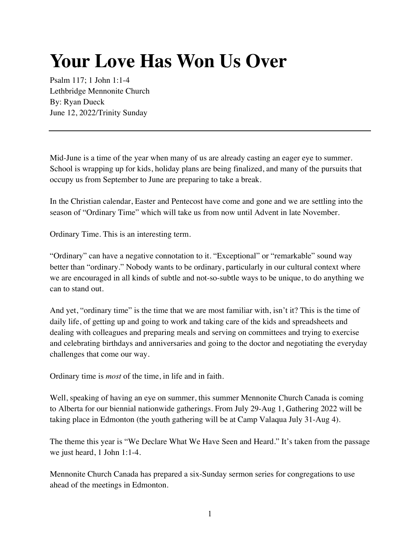## **Your Love Has Won Us Over**

Psalm 117; 1 John 1:1-4 Lethbridge Mennonite Church By: Ryan Dueck June 12, 2022/Trinity Sunday

Mid-June is a time of the year when many of us are already casting an eager eye to summer. School is wrapping up for kids, holiday plans are being finalized, and many of the pursuits that occupy us from September to June are preparing to take a break.

In the Christian calendar, Easter and Pentecost have come and gone and we are settling into the season of "Ordinary Time" which will take us from now until Advent in late November.

Ordinary Time. This is an interesting term.

"Ordinary" can have a negative connotation to it. "Exceptional" or "remarkable" sound way better than "ordinary." Nobody wants to be ordinary, particularly in our cultural context where we are encouraged in all kinds of subtle and not-so-subtle ways to be unique, to do anything we can to stand out.

And yet, "ordinary time" is the time that we are most familiar with, isn't it? This is the time of daily life, of getting up and going to work and taking care of the kids and spreadsheets and dealing with colleagues and preparing meals and serving on committees and trying to exercise and celebrating birthdays and anniversaries and going to the doctor and negotiating the everyday challenges that come our way.

Ordinary time is *most* of the time, in life and in faith.

Well, speaking of having an eye on summer, this summer Mennonite Church Canada is coming to Alberta for our biennial nationwide gatherings. From July 29-Aug 1, Gathering 2022 will be taking place in Edmonton (the youth gathering will be at Camp Valaqua July 31-Aug 4).

The theme this year is "We Declare What We Have Seen and Heard." It's taken from the passage we just heard, 1 John 1:1-4.

Mennonite Church Canada has prepared a six-Sunday sermon series for congregations to use ahead of the meetings in Edmonton.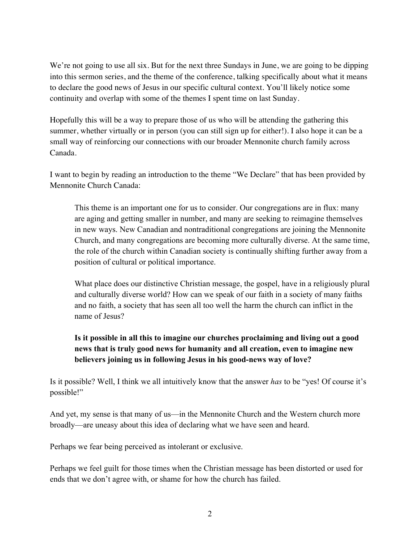We're not going to use all six. But for the next three Sundays in June, we are going to be dipping into this sermon series, and the theme of the conference, talking specifically about what it means to declare the good news of Jesus in our specific cultural context. You'll likely notice some continuity and overlap with some of the themes I spent time on last Sunday.

Hopefully this will be a way to prepare those of us who will be attending the gathering this summer, whether virtually or in person (you can still sign up for either!). I also hope it can be a small way of reinforcing our connections with our broader Mennonite church family across Canada.

I want to begin by reading an introduction to the theme "We Declare" that has been provided by Mennonite Church Canada:

This theme is an important one for us to consider. Our congregations are in flux: many are aging and getting smaller in number, and many are seeking to reimagine themselves in new ways. New Canadian and nontraditional congregations are joining the Mennonite Church, and many congregations are becoming more culturally diverse. At the same time, the role of the church within Canadian society is continually shifting further away from a position of cultural or political importance.

What place does our distinctive Christian message, the gospel, have in a religiously plural and culturally diverse world? How can we speak of our faith in a society of many faiths and no faith, a society that has seen all too well the harm the church can inflict in the name of Jesus?

## **Is it possible in all this to imagine our churches proclaiming and living out a good news that is truly good news for humanity and all creation, even to imagine new believers joining us in following Jesus in his good-news way of love?**

Is it possible? Well, I think we all intuitively know that the answer *has* to be "yes! Of course it's possible!"

And yet, my sense is that many of us—in the Mennonite Church and the Western church more broadly—are uneasy about this idea of declaring what we have seen and heard.

Perhaps we fear being perceived as intolerant or exclusive.

Perhaps we feel guilt for those times when the Christian message has been distorted or used for ends that we don't agree with, or shame for how the church has failed.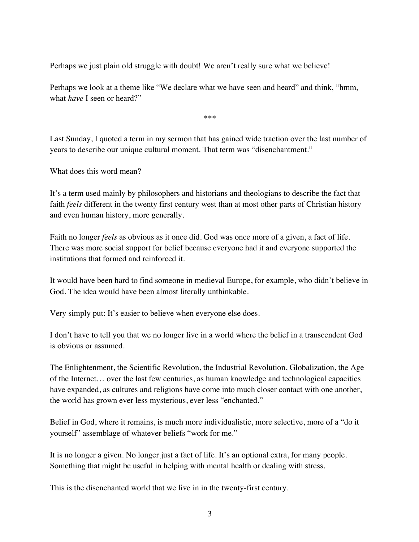Perhaps we just plain old struggle with doubt! We aren't really sure what we believe!

Perhaps we look at a theme like "We declare what we have seen and heard" and think, "hmm, what *have* I seen or heard?"

\*\*\*

Last Sunday, I quoted a term in my sermon that has gained wide traction over the last number of years to describe our unique cultural moment. That term was "disenchantment."

What does this word mean?

It's a term used mainly by philosophers and historians and theologians to describe the fact that faith *feels* different in the twenty first century west than at most other parts of Christian history and even human history, more generally.

Faith no longer *feels* as obvious as it once did. God was once more of a given, a fact of life. There was more social support for belief because everyone had it and everyone supported the institutions that formed and reinforced it.

It would have been hard to find someone in medieval Europe, for example, who didn't believe in God. The idea would have been almost literally unthinkable.

Very simply put: It's easier to believe when everyone else does.

I don't have to tell you that we no longer live in a world where the belief in a transcendent God is obvious or assumed.

The Enlightenment, the Scientific Revolution, the Industrial Revolution, Globalization, the Age of the Internet… over the last few centuries, as human knowledge and technological capacities have expanded, as cultures and religions have come into much closer contact with one another, the world has grown ever less mysterious, ever less "enchanted."

Belief in God, where it remains, is much more individualistic, more selective, more of a "do it yourself" assemblage of whatever beliefs "work for me."

It is no longer a given. No longer just a fact of life. It's an optional extra, for many people. Something that might be useful in helping with mental health or dealing with stress.

This is the disenchanted world that we live in in the twenty-first century.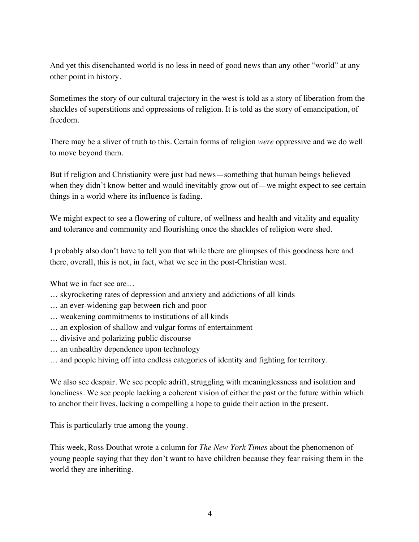And yet this disenchanted world is no less in need of good news than any other "world" at any other point in history.

Sometimes the story of our cultural trajectory in the west is told as a story of liberation from the shackles of superstitions and oppressions of religion. It is told as the story of emancipation, of freedom.

There may be a sliver of truth to this. Certain forms of religion *were* oppressive and we do well to move beyond them.

But if religion and Christianity were just bad news—something that human beings believed when they didn't know better and would inevitably grow out of—we might expect to see certain things in a world where its influence is fading.

We might expect to see a flowering of culture, of wellness and health and vitality and equality and tolerance and community and flourishing once the shackles of religion were shed.

I probably also don't have to tell you that while there are glimpses of this goodness here and there, overall, this is not, in fact, what we see in the post-Christian west.

What we in fact see are...

- … skyrocketing rates of depression and anxiety and addictions of all kinds
- … an ever-widening gap between rich and poor
- … weakening commitments to institutions of all kinds
- … an explosion of shallow and vulgar forms of entertainment
- … divisive and polarizing public discourse
- … an unhealthy dependence upon technology
- … and people hiving off into endless categories of identity and fighting for territory.

We also see despair. We see people adrift, struggling with meaninglessness and isolation and loneliness. We see people lacking a coherent vision of either the past or the future within which to anchor their lives, lacking a compelling a hope to guide their action in the present.

This is particularly true among the young.

This week, Ross Douthat wrote a column for *The New York Times* about the phenomenon of young people saying that they don't want to have children because they fear raising them in the world they are inheriting.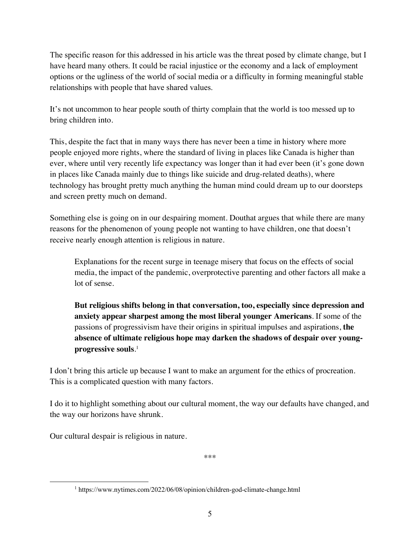The specific reason for this addressed in his article was the threat posed by climate change, but I have heard many others. It could be racial injustice or the economy and a lack of employment options or the ugliness of the world of social media or a difficulty in forming meaningful stable relationships with people that have shared values.

It's not uncommon to hear people south of thirty complain that the world is too messed up to bring children into.

This, despite the fact that in many ways there has never been a time in history where more people enjoyed more rights, where the standard of living in places like Canada is higher than ever, where until very recently life expectancy was longer than it had ever been (it's gone down in places like Canada mainly due to things like suicide and drug-related deaths), where technology has brought pretty much anything the human mind could dream up to our doorsteps and screen pretty much on demand.

Something else is going on in our despairing moment. Douthat argues that while there are many reasons for the phenomenon of young people not wanting to have children, one that doesn't receive nearly enough attention is religious in nature.

Explanations for the recent surge in teenage misery that focus on the effects of social media, the impact of the pandemic, overprotective parenting and other factors all make a lot of sense.

**But religious shifts belong in that conversation, too, especially since depression and anxiety appear sharpest among the most liberal younger Americans**. If some of the passions of progressivism have their origins in spiritual impulses and aspirations, **the absence of ultimate religious hope may darken the shadows of despair over youngprogressive souls**. 1

I don't bring this article up because I want to make an argument for the ethics of procreation. This is a complicated question with many factors.

I do it to highlight something about our cultural moment, the way our defaults have changed, and the way our horizons have shrunk.

Our cultural despair is religious in nature.

\*\*\*

<sup>1</sup> https://www.nytimes.com/2022/06/08/opinion/children-god-climate-change.html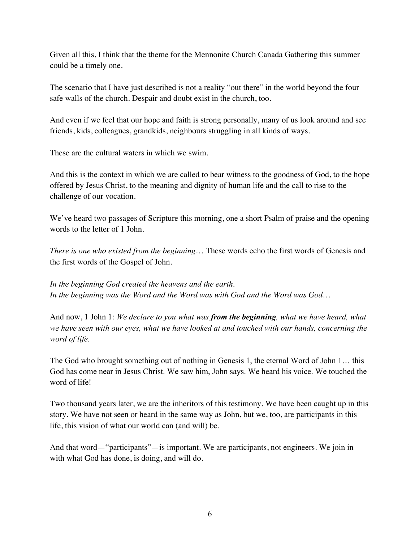Given all this, I think that the theme for the Mennonite Church Canada Gathering this summer could be a timely one.

The scenario that I have just described is not a reality "out there" in the world beyond the four safe walls of the church. Despair and doubt exist in the church, too.

And even if we feel that our hope and faith is strong personally, many of us look around and see friends, kids, colleagues, grandkids, neighbours struggling in all kinds of ways.

These are the cultural waters in which we swim.

And this is the context in which we are called to bear witness to the goodness of God, to the hope offered by Jesus Christ, to the meaning and dignity of human life and the call to rise to the challenge of our vocation.

We've heard two passages of Scripture this morning, one a short Psalm of praise and the opening words to the letter of 1 John.

*There is one who existed from the beginning*… These words echo the first words of Genesis and the first words of the Gospel of John.

*In the beginning God created the heavens and the earth*. *In the beginning was the Word and the Word was with God and the Word was God…*

And now, 1 John 1: *We declare to you what was from the beginning, what we have heard, what we have seen with our eyes, what we have looked at and touched with our hands, concerning the word of life.*

The God who brought something out of nothing in Genesis 1, the eternal Word of John 1… this God has come near in Jesus Christ. We saw him, John says. We heard his voice. We touched the word of life!

Two thousand years later, we are the inheritors of this testimony. We have been caught up in this story. We have not seen or heard in the same way as John, but we, too, are participants in this life, this vision of what our world can (and will) be.

And that word—"participants"—is important. We are participants, not engineers. We join in with what God has done, is doing, and will do.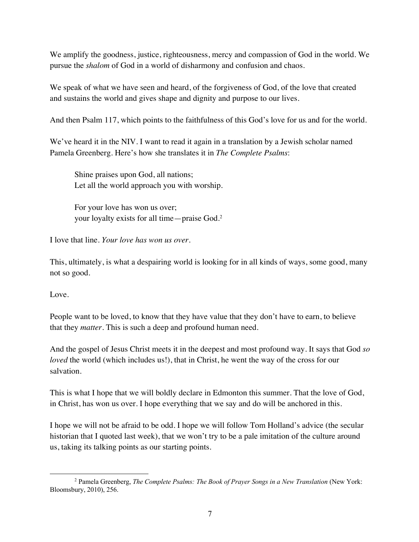We amplify the goodness, justice, righteousness, mercy and compassion of God in the world. We pursue the *shalom* of God in a world of disharmony and confusion and chaos.

We speak of what we have seen and heard, of the forgiveness of God, of the love that created and sustains the world and gives shape and dignity and purpose to our lives.

And then Psalm 117, which points to the faithfulness of this God's love for us and for the world.

We've heard it in the NIV. I want to read it again in a translation by a Jewish scholar named Pamela Greenberg. Here's how she translates it in *The Complete Psalms*:

Shine praises upon God, all nations; Let all the world approach you with worship.

For your love has won us over; your loyalty exists for all time—praise God.2

I love that line. *Your love has won us over*.

This, ultimately, is what a despairing world is looking for in all kinds of ways, some good, many not so good.

Love.

People want to be loved, to know that they have value that they don't have to earn, to believe that they *matter*. This is such a deep and profound human need.

And the gospel of Jesus Christ meets it in the deepest and most profound way. It says that God *so loved* the world (which includes us!), that in Christ, he went the way of the cross for our salvation.

This is what I hope that we will boldly declare in Edmonton this summer. That the love of God, in Christ, has won us over. I hope everything that we say and do will be anchored in this.

I hope we will not be afraid to be odd. I hope we will follow Tom Holland's advice (the secular historian that I quoted last week), that we won't try to be a pale imitation of the culture around us, taking its talking points as our starting points.

<sup>&</sup>lt;sup>2</sup> Pamela Greenberg, *The Complete Psalms: The Book of Prayer Songs in a New Translation* (New York: Bloomsbury, 2010), 256.